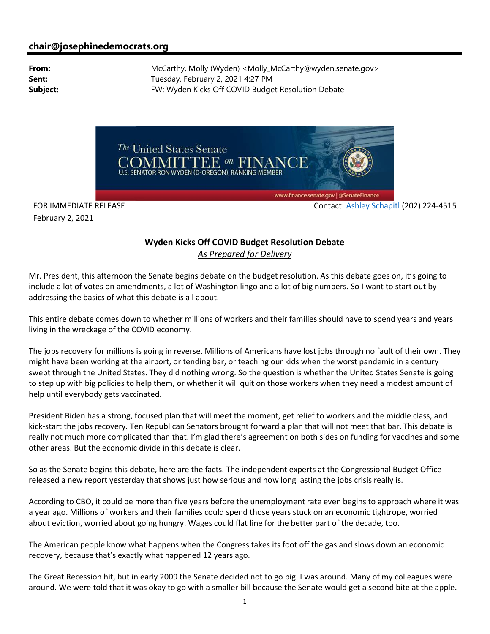## chair@josephinedemocrats.org

From: McCarthy, Molly (Wyden) <Molly\_McCarthy@wyden.senate.gov> Sent: Tuesday, February 2, 2021 4:27 PM Subject: FW: Wyden Kicks Off COVID Budget Resolution Debate



February 2, 2021

FOR IMMEDIATE RELEASE CONTACT ASHIEV SChapitl (202) 224-4515

## Wyden Kicks Off COVID Budget Resolution Debate As Prepared for Delivery

Mr. President, this afternoon the Senate begins debate on the budget resolution. As this debate goes on, it's going to include a lot of votes on amendments, a lot of Washington lingo and a lot of big numbers. So I want to start out by addressing the basics of what this debate is all about.

This entire debate comes down to whether millions of workers and their families should have to spend years and years living in the wreckage of the COVID economy.

The jobs recovery for millions is going in reverse. Millions of Americans have lost jobs through no fault of their own. They might have been working at the airport, or tending bar, or teaching our kids when the worst pandemic in a century swept through the United States. They did nothing wrong. So the question is whether the United States Senate is going to step up with big policies to help them, or whether it will quit on those workers when they need a modest amount of help until everybody gets vaccinated.

President Biden has a strong, focused plan that will meet the moment, get relief to workers and the middle class, and kick-start the jobs recovery. Ten Republican Senators brought forward a plan that will not meet that bar. This debate is really not much more complicated than that. I'm glad there's agreement on both sides on funding for vaccines and some other areas. But the economic divide in this debate is clear.

So as the Senate begins this debate, here are the facts. The independent experts at the Congressional Budget Office released a new report yesterday that shows just how serious and how long lasting the jobs crisis really is.

According to CBO, it could be more than five years before the unemployment rate even begins to approach where it was a year ago. Millions of workers and their families could spend those years stuck on an economic tightrope, worried about eviction, worried about going hungry. Wages could flat line for the better part of the decade, too.

The American people know what happens when the Congress takes its foot off the gas and slows down an economic recovery, because that's exactly what happened 12 years ago.

The Great Recession hit, but in early 2009 the Senate decided not to go big. I was around. Many of my colleagues were around. We were told that it was okay to go with a smaller bill because the Senate would get a second bite at the apple.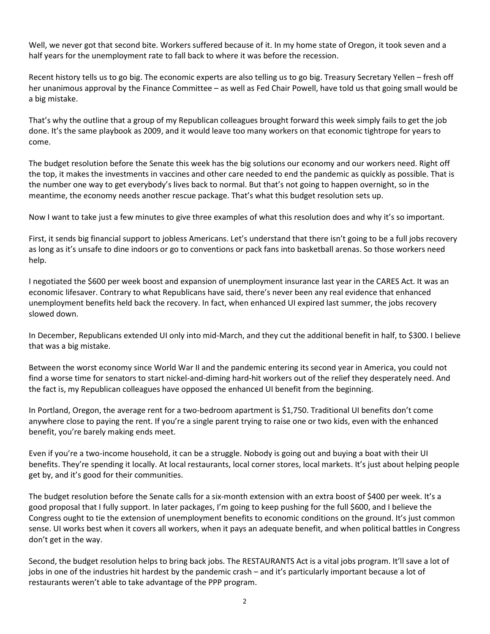Well, we never got that second bite. Workers suffered because of it. In my home state of Oregon, it took seven and a half years for the unemployment rate to fall back to where it was before the recession.

Recent history tells us to go big. The economic experts are also telling us to go big. Treasury Secretary Yellen – fresh off her unanimous approval by the Finance Committee – as well as Fed Chair Powell, have told us that going small would be a big mistake.

That's why the outline that a group of my Republican colleagues brought forward this week simply fails to get the job done. It's the same playbook as 2009, and it would leave too many workers on that economic tightrope for years to come.

The budget resolution before the Senate this week has the big solutions our economy and our workers need. Right off the top, it makes the investments in vaccines and other care needed to end the pandemic as quickly as possible. That is the number one way to get everybody's lives back to normal. But that's not going to happen overnight, so in the meantime, the economy needs another rescue package. That's what this budget resolution sets up.

Now I want to take just a few minutes to give three examples of what this resolution does and why it's so important.

First, it sends big financial support to jobless Americans. Let's understand that there isn't going to be a full jobs recovery as long as it's unsafe to dine indoors or go to conventions or pack fans into basketball arenas. So those workers need help.

I negotiated the \$600 per week boost and expansion of unemployment insurance last year in the CARES Act. It was an economic lifesaver. Contrary to what Republicans have said, there's never been any real evidence that enhanced unemployment benefits held back the recovery. In fact, when enhanced UI expired last summer, the jobs recovery slowed down.

In December, Republicans extended UI only into mid-March, and they cut the additional benefit in half, to \$300. I believe that was a big mistake.

Between the worst economy since World War II and the pandemic entering its second year in America, you could not find a worse time for senators to start nickel-and-diming hard-hit workers out of the relief they desperately need. And the fact is, my Republican colleagues have opposed the enhanced UI benefit from the beginning.

In Portland, Oregon, the average rent for a two-bedroom apartment is \$1,750. Traditional UI benefits don't come anywhere close to paying the rent. If you're a single parent trying to raise one or two kids, even with the enhanced benefit, you're barely making ends meet.

Even if you're a two-income household, it can be a struggle. Nobody is going out and buying a boat with their UI benefits. They're spending it locally. At local restaurants, local corner stores, local markets. It's just about helping people get by, and it's good for their communities.

The budget resolution before the Senate calls for a six-month extension with an extra boost of \$400 per week. It's a good proposal that I fully support. In later packages, I'm going to keep pushing for the full \$600, and I believe the Congress ought to tie the extension of unemployment benefits to economic conditions on the ground. It's just common sense. UI works best when it covers all workers, when it pays an adequate benefit, and when political battles in Congress don't get in the way.

Second, the budget resolution helps to bring back jobs. The RESTAURANTS Act is a vital jobs program. It'll save a lot of jobs in one of the industries hit hardest by the pandemic crash – and it's particularly important because a lot of restaurants weren't able to take advantage of the PPP program.